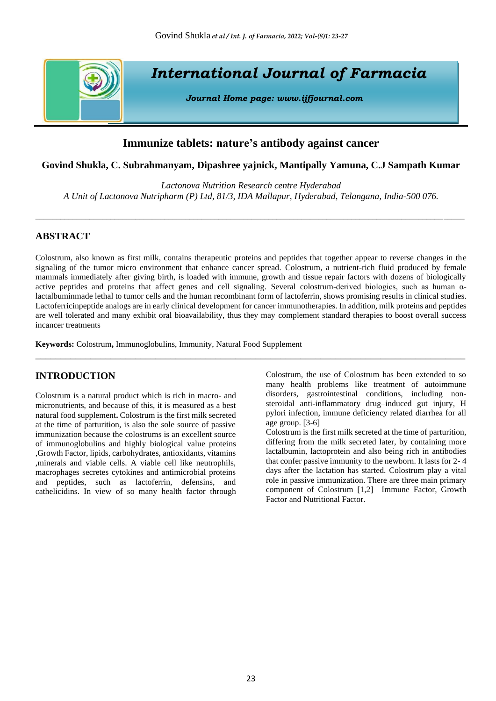

# **Immunize tablets: nature's antibody against cancer**

## **Govind Shukla, C. Subrahmanyam, Dipashree yajnick, Mantipally Yamuna, C.J Sampath Kumar**

*Lactonova Nutrition Research centre Hyderabad A Unit of Lactonova Nutripharm (P) Ltd, 81/3, IDA Mallapur, Hyderabad, Telangana, India-500 076.*

\_\_\_\_\_\_\_\_\_\_\_\_\_\_\_\_\_\_\_\_\_\_\_\_\_\_\_\_\_\_\_\_\_\_\_\_\_\_\_\_\_\_\_\_\_\_\_\_\_\_\_\_\_\_\_\_\_\_\_\_\_\_\_\_\_\_\_\_\_\_\_\_\_\_\_\_\_\_\_\_\_\_\_\_\_\_\_\_\_\_\_\_\_\_\_\_\_\_\_\_\_\_\_

# **ABSTRACT**

Colostrum, also known as first milk, contains therapeutic proteins and peptides that together appear to reverse changes in the signaling of the tumor micro environment that enhance cancer spread. Colostrum, a nutrient-rich fluid produced by female mammals immediately after giving birth, is loaded with immune, growth and tissue repair factors with dozens of biologically active peptides and proteins that affect genes and cell signaling. Several colostrum-derived biologics, such as human αlactalbuminmade lethal to tumor cells and the human recombinant form of lactoferrin, shows promising results in clinical studies. Lactoferricinpeptide analogs are in early clinical development for cancer immunotherapies. In addition, milk proteins and peptides are well tolerated and many exhibit oral bioavailability, thus they may complement standard therapies to boost overall success incancer treatments

\_\_\_\_\_\_\_\_\_\_\_\_\_\_\_\_\_\_\_\_\_\_\_\_\_\_\_\_\_\_\_\_\_\_\_\_\_\_\_\_\_\_\_\_\_\_\_\_\_\_\_\_\_\_\_\_\_\_\_\_\_\_\_\_\_\_\_\_\_\_\_\_\_\_\_\_\_\_\_\_\_\_\_\_\_\_

**Keywords:** Colostrum**,** Immunoglobulins, Immunity, Natural Food Supplement

# **INTRODUCTION**

Colostrum is a natural product which is rich in macro- and micronutrients, and because of this, it is measured as a best natural food supplement**.** Colostrum is the first milk secreted at the time of parturition, is also the sole source of passive immunization because the colostrums is an excellent source of immunoglobulins and highly biological value proteins ,Growth Factor, lipids, carbohydrates, antioxidants, vitamins ,minerals and viable cells. A viable cell like neutrophils, macrophages secretes cytokines and antimicrobial proteins and peptides, such as lactoferrin, defensins, and cathelicidins. In view of so many health factor through Colostrum, the use of Colostrum has been extended to so many health problems like treatment of autoimmune disorders, gastrointestinal conditions, including nonsteroidal anti-inflammatory drug–induced gut injury, H pylori infection, immune deficiency related diarrhea for all age group. [3-6]

Colostrum is the first milk secreted at the time of parturition, differing from the milk secreted later, by containing more lactalbumin, lactoprotein and also being rich in antibodies that confer passive immunity to the newborn. It lasts for 2- 4 days after the lactation has started. Colostrum play a vital role in passive immunization. There are three main primary component of Colostrum [1,2] Immune Factor, Growth Factor and Nutritional Factor.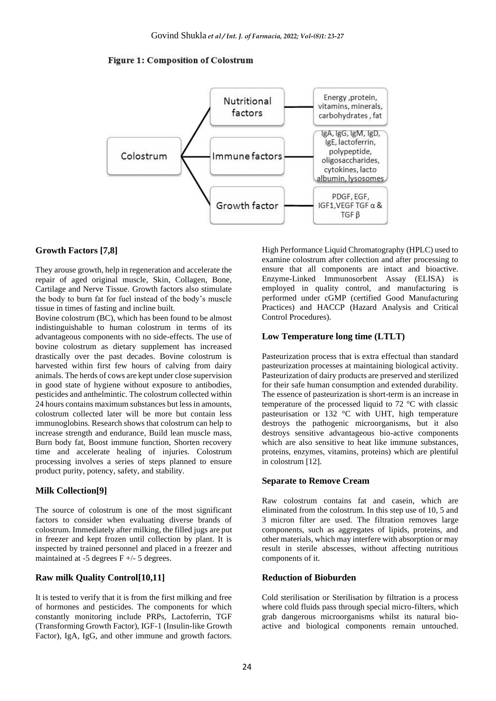#### **Figure 1: Composition of Colostrum**



#### **Growth Factors [7,8]**

They arouse growth, help in regeneration and accelerate the repair of aged original muscle, Skin, Collagen, Bone, Cartilage and Nerve Tissue. Growth factors also stimulate the body to burn fat for fuel instead of the body's muscle tissue in times of fasting and incline built.

Bovine colostrum (BC), which has been found to be almost indistinguishable to human colostrum in terms of its advantageous components with no side-effects. The use of bovine colostrum as dietary supplement has increased drastically over the past decades. Bovine colostrum is harvested within first few hours of calving from dairy animals. The herds of cows are kept under close supervision in good state of hygiene without exposure to antibodies, pesticides and anthelmintic. The colostrum collected within 24 hours contains maximum substances but less in amounts, colostrum collected later will be more but contain less immunoglobins. Research shows that colostrum can help to increase strength and endurance, Build lean muscle mass, Burn body fat, Boost immune function, Shorten recovery time and accelerate healing of injuries. Colostrum processing involves a series of steps planned to ensure product purity, potency, safety, and stability.

#### **Milk Collection[9]**

The source of colostrum is one of the most significant factors to consider when evaluating diverse brands of colostrum. Immediately after milking, the filled jugs are put in freezer and kept frozen until collection by plant. It is inspected by trained personnel and placed in a freezer and maintained at  $-5$  degrees  $F +/- 5$  degrees.

# **Raw milk Quality Control[10,11]**

It is tested to verify that it is from the first milking and free of hormones and pesticides. The components for which constantly monitoring include PRPs, Lactoferrin, TGF (Transforming Growth Factor), IGF-1 (Insulin-like Growth Factor), IgA, IgG, and other immune and growth factors.

High Performance Liquid Chromatography (HPLC) used to examine colostrum after collection and after processing to ensure that all components are intact and bioactive. Enzyme-Linked Immunosorbent Assay (ELISA) is employed in quality control, and manufacturing is performed under cGMP (certified Good Manufacturing Practices) and HACCP (Hazard Analysis and Critical Control Procedures).

#### **Low Temperature long time (LTLT)**

Pasteurization process that is extra effectual than standard pasteurization processes at maintaining biological activity. Pasteurization of dairy products are preserved and sterilized for their safe human consumption and extended durability. The essence of pasteurization is short-term is an increase in temperature of the processed liquid to 72 °C with classic pasteurisation or 132 °C with UHT, high temperature destroys the pathogenic microorganisms, but it also destroys sensitive advantageous bio-active components which are also sensitive to heat like immune substances, proteins, enzymes, vitamins, proteins) which are plentiful in colostrum [12].

#### **Separate to Remove Cream**

Raw colostrum contains fat and casein, which are eliminated from the colostrum. In this step use of 10, 5 and 3 micron filter are used. The filtration removes large components, such as aggregates of lipids, proteins, and other materials, which may interfere with absorption or may result in sterile abscesses, without affecting nutritious components of it.

# **Reduction of Bioburden**

Cold sterilisation or Sterilisation by filtration is a process where cold fluids pass through special micro-filters, which grab dangerous microorganisms whilst its natural bioactive and biological components remain untouched.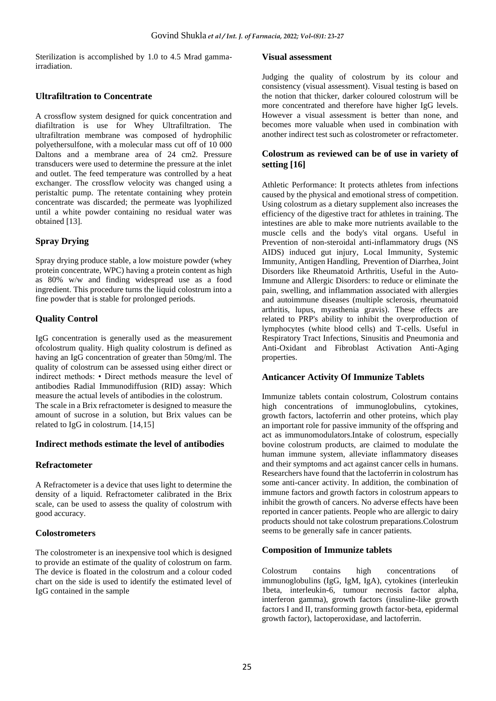Sterilization is accomplished by 1.0 to 4.5 Mrad gammairradiation.

## **Ultrafiltration to Concentrate**

A crossflow system designed for quick concentration and diafiltration is use for Whey Ultrafiltration. The ultrafiltration membrane was composed of hydrophilic polyethersulfone, with a molecular mass cut off of 10 000 Daltons and a membrane area of 24 cm2. Pressure transducers were used to determine the pressure at the inlet and outlet. The feed temperature was controlled by a heat exchanger. The crossflow velocity was changed using a peristaltic pump. The retentate containing whey protein concentrate was discarded; the permeate was lyophilized until a white powder containing no residual water was obtained [13].

# **Spray Drying**

Spray drying produce stable, a low moisture powder (whey protein concentrate, WPC) having a protein content as high as 80% w/w and finding widespread use as a food ingredient. This procedure turns the liquid colostrum into a fine powder that is stable for prolonged periods.

# **Quality Control**

IgG concentration is generally used as the measurement ofcolostrum quality. High quality colostrum is defined as having an IgG concentration of greater than 50mg/ml. The quality of colostrum can be assessed using either direct or indirect methods: • Direct methods measure the level of antibodies Radial Immunodiffusion (RID) assay: Which measure the actual levels of antibodies in the colostrum. The scale in a Brix refractometer is designed to measure the amount of sucrose in a solution, but Brix values can be related to IgG in colostrum. [14,15]

### **Indirect methods estimate the level of antibodies**

### **Refractometer**

A Refractometer is a device that uses light to determine the density of a liquid. Refractometer calibrated in the Brix scale, can be used to assess the quality of colostrum with good accuracy.

### **Colostrometers**

The colostrometer is an inexpensive tool which is designed to provide an estimate of the quality of colostrum on farm. The device is floated in the colostrum and a colour coded chart on the side is used to identify the estimated level of IgG contained in the sample

#### **Visual assessment**

Judging the quality of colostrum by its colour and consistency (visual assessment). Visual testing is based on the notion that thicker, darker coloured colostrum will be more concentrated and therefore have higher IgG levels. However a visual assessment is better than none, and becomes more valuable when used in combination with another indirect test such as colostrometer or refractometer.

### **Colostrum as reviewed can be of use in variety of setting [16]**

Athletic Performance: It protects athletes from infections caused by the physical and emotional stress of competition. Using colostrum as a dietary supplement also increases the efficiency of the digestive tract for athletes in training. The intestines are able to make more nutrients available to the muscle cells and the body's vital organs. Useful in Prevention of non-steroidal anti-inflammatory drugs (NS AIDS) induced gut injury, Local Immunity, Systemic Immunity, Antigen Handling, Prevention of Diarrhea, Joint Disorders like Rheumatoid Arthritis, Useful in the Auto-Immune and Allergic Disorders: to reduce or eliminate the pain, swelling, and inflammation associated with allergies and autoimmune diseases (multiple sclerosis, rheumatoid arthritis, lupus, myasthenia gravis). These effects are related to PRP's ability to inhibit the overproduction of lymphocytes (white blood cells) and T-cells. Useful in Respiratory Tract Infections, Sinusitis and Pneumonia and Anti-Oxidant and Fibroblast Activation Anti-Aging properties.

# **Anticancer Activity Of Immunize Tablets**

Immunize tablets contain colostrum, Colostrum contains high concentrations of immunoglobulins, cytokines, growth factors, lactoferrin and other proteins, which play an important role for passive immunity of the offspring and act as immunomodulators.Intake of colostrum, especially bovine colostrum products, are claimed to modulate the human immune system, alleviate inflammatory diseases and their symptoms and act against cancer cells in humans. Researchers have found that the lactoferrin in colostrum has some anti-cancer activity. In addition, the combination of immune factors and growth factors in colostrum appears to inhibit the growth of cancers. No adverse effects have been reported in cancer patients. People who are allergic to dairy products should not take colostrum preparations.Colostrum seems to be generally safe in cancer patients.

### **Composition of Immunize tablets**

Colostrum contains high concentrations of immunoglobulins (IgG, IgM, IgA), cytokines (interleukin 1beta, interleukin-6, tumour necrosis factor alpha, interferon gamma), growth factors (insuline-like growth factors I and II, transforming growth factor-beta, epidermal growth factor), lactoperoxidase, and lactoferrin.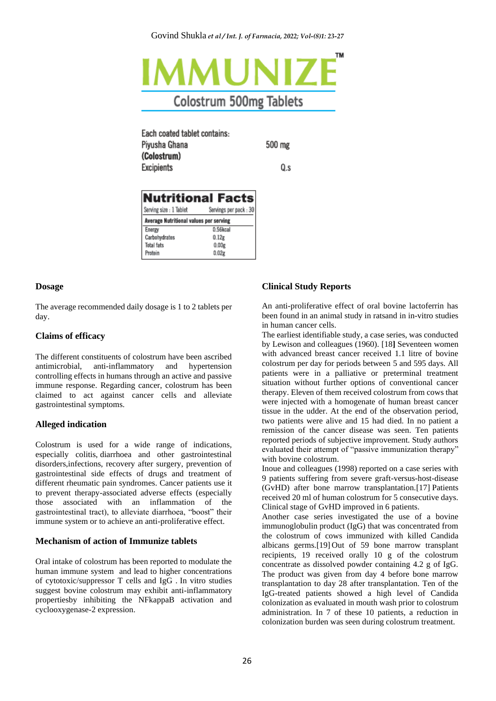

Each coated tablet contains: Pivusha Ghana 500 mg (Colostrum) Excipients

Q.s

| <b>Nutritional Facts</b>               |                        |
|----------------------------------------|------------------------|
| Serving size : 1 Tablet                | Servings per pack : 30 |
| Average Nutritional values per serving |                        |
| Energy                                 | 0.56kcal               |
| Carbohydrates                          | 0.12g                  |
| Total fats                             | 0.00g                  |
| Protein                                | 0.02g                  |

#### **Dosage**

The average recommended daily dosage is 1 to 2 tablets per day.

### **Claims of efficacy**

The different constituents of colostrum have been ascribed antimicrobial, anti-inflammatory and hypertension controlling effects in humans through an active and passive immune response. Regarding cancer, colostrum has been claimed to act against cancer cells and alleviate gastrointestinal symptoms.

# **Alleged indication**

Colostrum is used for a wide range of indications, especially colitis, diarrhoea and other gastrointestinal disorders,infections, recovery after surgery, prevention of gastrointestinal side effects of drugs and treatment of different rheumatic pain syndromes. Cancer patients use it to prevent therapy-associated adverse effects (especially those associated with an inflammation of the gastrointestinal tract), to alleviate diarrhoea, "boost" their immune system or to achieve an anti-proliferative effect.

### **Mechanism of action of Immunize tablets**

Oral intake of colostrum has been reported to modulate the human immune system and lead to higher concentrations of cytotoxic/suppressor T cells and IgG . In vitro studies suggest bovine colostrum may exhibit anti-inflammatory propertiesby inhibiting the NFkappaB activation and cyclooxygenase-2 expression.

# **Clinical Study Reports**

An anti-proliferative effect of oral bovine lactoferrin has been found in an animal study in ratsand in in-vitro studies in human cancer cells.

The earliest identifiable study, a case series, was conducted by Lewison and colleagues (1960). [18**]** Seventeen women with advanced breast cancer received 1.1 litre of bovine colostrum per day for periods between 5 and 595 days. All patients were in a palliative or preterminal treatment situation without further options of conventional cancer therapy. Eleven of them received colostrum from cows that were injected with a homogenate of human breast cancer tissue in the udder. At the end of the observation period, two patients were alive and 15 had died. In no patient a remission of the cancer disease was seen. Ten patients reported periods of subjective improvement. Study authors evaluated their attempt of "passive immunization therapy" with bovine colostrum.

Inoue and colleagues (1998) reported on a case series with 9 patients suffering from severe graft-versus-host-disease (GvHD) after bone marrow transplantation.[17] Patients received 20 ml of human colostrum for 5 consecutive days. Clinical stage of GvHD improved in 6 patients.

Another case series investigated the use of a bovine immunoglobulin product  $(Ig\overline{G})$  that was concentrated from the colostrum of cows immunized with killed Candida albicans germs.[19] Out of 59 bone marrow transplant recipients, 19 received orally 10 g of the colostrum concentrate as dissolved powder containing 4.2 g of IgG. The product was given from day 4 before bone marrow transplantation to day 28 after transplantation. Ten of the IgG-treated patients showed a high level of Candida colonization as evaluated in mouth wash prior to colostrum administration. In 7 of these 10 patients, a reduction in colonization burden was seen during colostrum treatment.